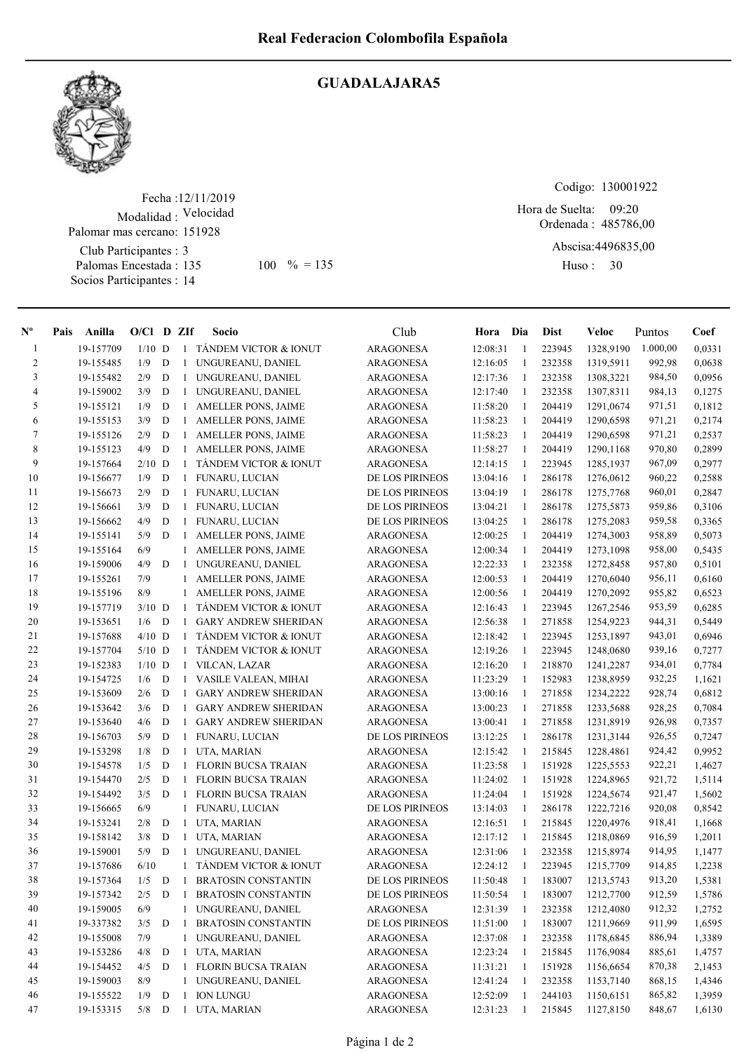

## GUADALAJARA5

Fecha : 12/11/2019 Modalidad : Velocidad Club Participantes : 3 Palomas Encestada : Socios Participantes : 14 Palomar mas cercano: 151928 135 100 % = 135 Huso: 30

Codigo: 130001922

Ordenada : 485786,00 Abscisa: 4496835,00 Hora de Suelta: 09:20

Huso: 30

| $\mathbf{N}^{\mathbf{o}}$ | Pais | Anilla    | $O/Cl$ D ZIf |             |              | Socio                            | Club             | Hora Dia |              | <b>Dist</b> | Veloc                          | Puntos   | Coef   |
|---------------------------|------|-----------|--------------|-------------|--------------|----------------------------------|------------------|----------|--------------|-------------|--------------------------------|----------|--------|
| 1                         |      | 19-157709 | $1/10$ D     |             | $\mathbf{1}$ | TÁNDEM VICTOR & IONUT            | <b>ARAGONESA</b> | 12:08:31 | -1           | 223945      | 1328,9190                      | 1.000,00 | 0,0331 |
| $\overline{c}$            |      | 19-155485 | 1/9          | D           | 1            | UNGUREANU, DANIEL                | <b>ARAGONESA</b> | 12:16:05 | $\mathbf{1}$ | 232358      | 1319,5911                      | 992,98   | 0,0638 |
| 3                         |      | 19-155482 | 2/9          | D           | 1            | UNGUREANU, DANIEL                | ARAGONESA        | 12:17:36 | 1            | 232358      | 1308,3221                      | 984,50   | 0,0956 |
| 4                         |      | 19-159002 | 3/9          | D           | 1            | UNGUREANU, DANIEL                | ARAGONESA        | 12:17:40 | -1           | 232358      | 1307,8311                      | 984,13   | 0,1275 |
| 5                         |      | 19-155121 | 1/9          | $\mathbf D$ | 1            | AMELLER PONS, JAIME              | <b>ARAGONESA</b> | 11:58:20 | -1           | 204419      | 1291,0674                      | 971,51   | 0,1812 |
| 6                         |      | 19-155153 | 3/9          | $\mathbf D$ | 1            | AMELLER PONS, JAIME              | <b>ARAGONESA</b> | 11:58:23 | -1           | 204419      | 1290,6598                      | 971,21   | 0,2174 |
| 7                         |      | 19-155126 | 2/9          | D           | 1            | AMELLER PONS, JAIME              | ARAGONESA        | 11:58:23 | -1           | 204419      | 1290,6598                      | 971,21   | 0,2537 |
| 8                         |      | 19-155123 | 4/9          | D           | 1            | <b>AMELLER PONS, JAIME</b>       | <b>ARAGONESA</b> | 11:58:27 | -1           | 204419      | 1290,1168                      | 970,80   | 0,2899 |
| 9                         |      | 19-157664 | $2/10$ D     |             | $\mathbf{1}$ | TANDEM VICTOR & IONUT            | ARAGONESA        | 12:14:15 | -1           | 223945      | 1285,1937                      | 967,09   | 0,2977 |
| 10                        |      | 19-156677 | 1/9          | D           | $\mathbf{1}$ | <b>FUNARU, LUCIAN</b>            | DE LOS PIRINEOS  | 13:04:16 | -1           | 286178      | 1276,0612                      | 960,22   | 0,2588 |
| 11                        |      | 19-156673 | 2/9          | D           | 1            | FUNARU, LUCIAN                   | DE LOS PIRINEOS  | 13:04:19 | -1           | 286178      | 1275,7768                      | 960,01   | 0,2847 |
| 12                        |      | 19-156661 | 3/9          | D           | 1            | FUNARU, LUCIAN                   | DE LOS PIRINEOS  | 13:04:21 | -1           | 286178      | 1275,5873                      | 959,86   | 0,3106 |
| 13                        |      | 19-156662 | 4/9          | D           | $\mathbf{1}$ | FUNARU, LUCIAN                   | DE LOS PIRINEOS  | 13:04:25 | $\mathbf{1}$ | 286178      | 1275,2083                      | 959,58   | 0,3365 |
| 14                        |      | 19-155141 | 5/9          | D           | 1            | <b>AMELLER PONS, JAIME</b>       | <b>ARAGONESA</b> | 12:00:25 | $\mathbf{1}$ | 204419      | 1274,3003                      | 958,89   | 0,5073 |
| 15                        |      | 19-155164 | 6/9          |             | $\mathbf{1}$ | AMELLER PONS, JAIME              | ARAGONESA        | 12:00:34 | 1            | 204419      | 1273,1098                      | 958,00   | 0,5435 |
| 16                        |      | 19-159006 | 4/9          | D           | 1            | UNGUREANU, DANIEL                | <b>ARAGONESA</b> | 12:22:33 | -1           | 232358      | 1272,8458                      | 957,80   | 0,5101 |
| 17                        |      | 19-155261 | 7/9          |             | 1            | AMELLER PONS, JAIME              | <b>ARAGONESA</b> | 12:00:53 | 1            | 204419      | 1270,6040                      | 956,11   | 0,6160 |
| 18                        |      | 19-155196 | 8/9          |             | 1            | <b>AMELLER PONS, JAIME</b>       | <b>ARAGONESA</b> | 12:00:56 | 1            | 204419      | 1270,2092                      | 955,82   | 0,6523 |
| 19                        |      | 19-157719 | $3/10$ D     |             | 1            | <b>TANDEM VICTOR &amp; IONUT</b> | <b>ARAGONESA</b> | 12:16:43 | 1            | 223945      | 1267,2546                      | 953,59   | 0,6285 |
| 20                        |      | 19-153651 | 1/6          | D           | $\mathbf{1}$ | <b>GARY ANDREW SHERIDAN</b>      | <b>ARAGONESA</b> | 12:56:38 | 1            | 271858      | 1254,9223                      | 944,31   | 0,5449 |
| 21                        |      | 19-157688 | $4/10$ D     |             | $\mathbf{1}$ | TANDEM VICTOR & IONUT            | ARAGONESA        | 12:18:42 | -1           | 223945      | 1253,1897                      | 943,01   | 0,6946 |
| 22                        |      | 19-157704 | $5/10$ D     |             | 1            | TÁNDEM VICTOR & IONUT            | ARAGONESA        | 12:19:26 | -1           | 223945      | 1248,0680                      | 939,16   | 0,7277 |
| 23                        |      | 19-152383 | $1/10$ D     |             | 1            | VILCAN, LAZAR                    | ARAGONESA        | 12:16:20 | -1           | 218870      | 1241,2287                      | 934,01   | 0,7784 |
| 24                        |      | 19-154725 | 1/6          | D           | 1            | VASILE VALEAN, MIHAI             | ARAGONESA        | 11:23:29 | -1           | 152983      | 1238,8959                      | 932,25   | 1,1621 |
| 25                        |      | 19-153609 | 2/6          | D           | $\mathbf{1}$ | <b>GARY ANDREW SHERIDAN</b>      | ARAGONESA        | 13:00:16 | $\mathbf{1}$ | 271858      | 1234,2222                      | 928,74   | 0,6812 |
| 26                        |      | 19-153642 | 3/6          | D           | 1            | <b>GARY ANDREW SHERIDAN</b>      | ARAGONESA        | 13:00:23 | 1            | 271858      | 1233,5688                      | 928,25   | 0,7084 |
| 27                        |      | 19-153640 | 4/6          | D           | 1            | <b>GARY ANDREW SHERIDAN</b>      | ARAGONESA        | 13:00:41 | 1            | 271858      | 1231,8919                      | 926,98   | 0,7357 |
| 28                        |      | 19-156703 | 5/9          | D           | 1            | FUNARU, LUCIAN                   | DE LOS PIRINEOS  | 13:12:25 | 1            | 286178      | 1231,3144                      | 926,55   | 0,7247 |
| 29                        |      | 19-153298 | 1/8          | $\mathbf D$ | $\mathbf{1}$ | UTA, MARIAN                      | ARAGONESA        | 12:15:42 | -1           | 215845      | 1228,4861                      | 924,42   | 0,9952 |
| 30                        |      | 19-154578 | 1/5          | $\mathbf D$ | 1            | <b>FLORIN BUCSA TRAIAN</b>       | <b>ARAGONESA</b> | 11:23:58 | -1           | 151928      | 1225,5553                      | 922,21   | 1,4627 |
| 31                        |      | 19-154470 | 2/5          | D           | $\mathbf{1}$ | <b>FLORIN BUCSA TRAIAN</b>       | ARAGONESA        | 11:24:02 | -1           | 151928      | 1224,8965                      | 921,72   | 1,5114 |
| 32                        |      | 19-154492 | 3/5          | D           | $\mathbf{1}$ | <b>FLORIN BUCSA TRAIAN</b>       | ARAGONESA        | 11:24:04 | -1           | 151928      | 1224,5674                      | 921,47   | 1,5602 |
| 33                        |      | 19-156665 | 6/9          |             | 1            | <b>FUNARU, LUCIAN</b>            | DE LOS PIRINEOS  | 13:14:03 | -1           | 286178      | 1222,7216                      | 920,08   | 0,8542 |
| 34                        |      | 19-153241 | 2/8          | D           | -1           | UTA, MARIAN                      | ARAGONESA        | 12:16:51 | -1           | 215845      | 1220,4976                      | 918,41   | 1,1668 |
| 35                        |      | 19-158142 | 3/8          | $\mathbf D$ | 1            | UTA, MARIAN                      | <b>ARAGONESA</b> | 12:17:12 | 1            | 215845      | 1218,0869                      | 916,59   | 1,2011 |
| 36                        |      | 19-159001 | 5/9          | D           | $\mathbf{1}$ | UNGUREANU, DANIEL                | <b>ARAGONESA</b> | 12:31:06 | -1           | 232358      | 1215,8974                      | 914,95   | 1,1477 |
| 37                        |      | 19-157686 | 6/10         |             | $\mathbf{1}$ | TÁNDEM VICTOR & IONUT            | <b>ARAGONESA</b> | 12:24:12 | -1           | 223945      | 1215,7709                      | 914,85   | 1,2238 |
| 38                        |      | 19-157364 |              |             |              | 1/5 D 1 BRATOSIN CONSTANTIN      | DE LOS PIRINEOS  |          |              |             | 11:50:48  1  183007  1213,5743 | 913,20   | 1,5381 |
| 39                        |      | 19-157342 | 2/5          | D           | -1           | <b>BRATOSIN CONSTANTIN</b>       | DE LOS PIRINEOS  | 11:50:54 | -1           | 183007      | 1212,7700                      | 912,59   | 1,5786 |
| 40                        |      | 19-159005 | 6/9          |             | 1            | UNGUREANU, DANIEL                | <b>ARAGONESA</b> | 12:31:39 | $\mathbf{1}$ | 232358      | 1212,4080                      | 912,32   | 1,2752 |
| 41                        |      | 19-337382 | 3/5          | D           | -1           | BRATOSIN CONSTANTIN              | DE LOS PIRINEOS  | 11:51:00 | -1           | 183007      | 1211,9669                      | 911,99   | 1,6595 |
| 42                        |      | 19-155008 | 7/9          |             | $\mathbf{1}$ | UNGUREANU, DANIEL                | ARAGONESA        | 12:37:08 | $\mathbf{1}$ | 232358      | 1178,6845                      | 886,94   | 1,3389 |
| 43                        |      | 19-153286 | 4/8          | D           | 1            | UTA, MARIAN                      | ARAGONESA        | 12:23:24 | $\mathbf{1}$ | 215845      | 1176,9084                      | 885,61   | 1,4757 |
| 44                        |      | 19-154452 | 4/5          | D           | 1            | FLORIN BUCSA TRAIAN              | ARAGONESA        | 11:31:21 | -1           | 151928      | 1156,6654                      | 870,38   | 2,1453 |
| 45                        |      | 19-159003 | 8/9          |             | $\mathbf{1}$ | UNGUREANU, DANIEL                | <b>ARAGONESA</b> | 12:41:24 | -1           | 232358      | 1153,7140                      | 868,15   | 1,4346 |
| 46                        |      | 19-155522 | 1/9          | D           | -1           | <b>ION LUNGU</b>                 | <b>ARAGONESA</b> | 12:52:09 | -1           | 244103      | 1150,6151                      | 865,82   | 1,3959 |
| 47                        |      | 19-153315 | $5/8$ D      |             | $\mathbf{1}$ | UTA, MARIAN                      | ARAGONESA        | 12:31:23 | -1           | 215845      | 1127,8150                      | 848,67   | 1,6130 |
|                           |      |           |              |             |              |                                  |                  |          |              |             |                                |          |        |